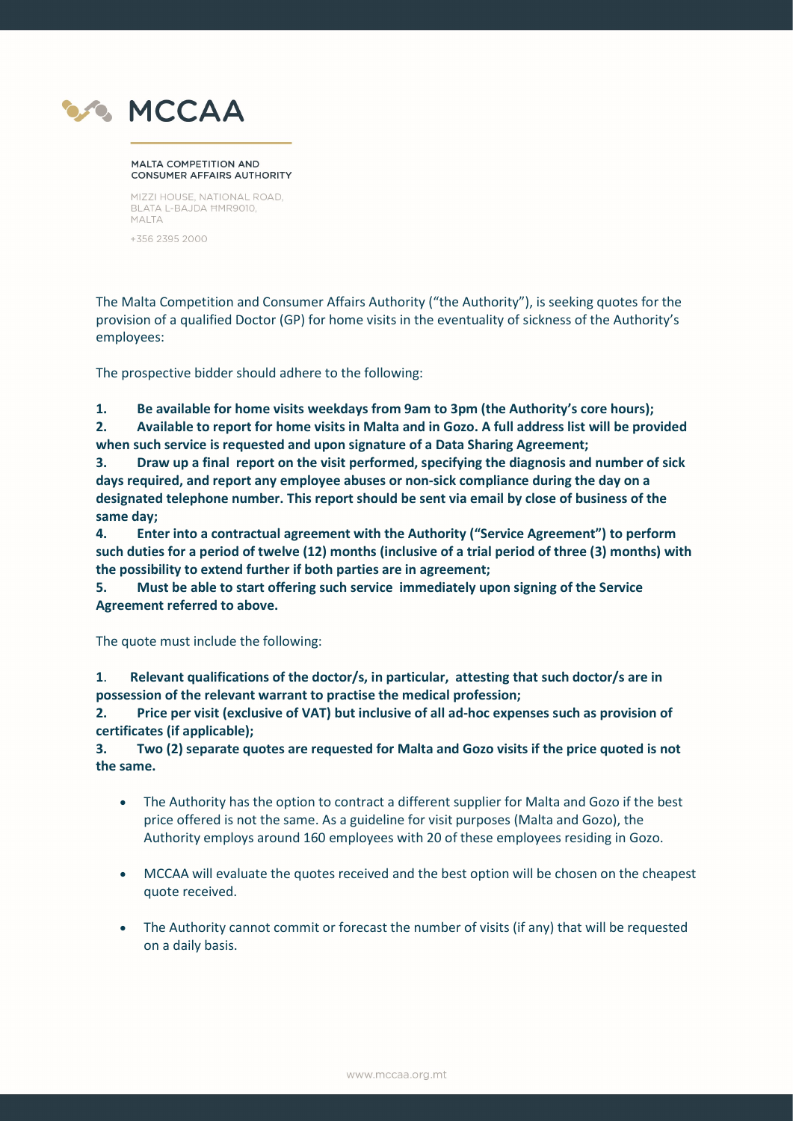

## **MALTA COMPETITION AND CONSUMER AFFAIRS AUTHORITY**

MIZZI HOUSE, NATIONAL ROAD, BLATA L-BAJDA HMR9010, MALTA

+356 2395 2000

The Malta Competition and Consumer Affairs Authority ("the Authority"), is seeking quotes for the provision of a qualified Doctor (GP) for home visits in the eventuality of sickness of the Authority's employees:

The prospective bidder should adhere to the following:

1. Be available for home visits weekdays from 9am to 3pm (the Authority's core hours);

2. Available to report for home visits in Malta and in Gozo. A full address list will be provided when such service is requested and upon signature of a Data Sharing Agreement;

3. Draw up a final report on the visit performed, specifying the diagnosis and number of sick days required, and report any employee abuses or non-sick compliance during the day on a designated telephone number. This report should be sent via email by close of business of the same day;

4. Enter into a contractual agreement with the Authority ("Service Agreement") to perform such duties for a period of twelve (12) months (inclusive of a trial period of three (3) months) with the possibility to extend further if both parties are in agreement;

5. Must be able to start offering such service immediately upon signing of the Service Agreement referred to above.

The quote must include the following:

1. Relevant qualifications of the doctor/s, in particular, attesting that such doctor/s are in possession of the relevant warrant to practise the medical profession;

2. Price per visit (exclusive of VAT) but inclusive of all ad-hoc expenses such as provision of certificates (if applicable);

3. Two (2) separate quotes are requested for Malta and Gozo visits if the price quoted is not the same.

- The Authority has the option to contract a different supplier for Malta and Gozo if the best price offered is not the same. As a guideline for visit purposes (Malta and Gozo), the Authority employs around 160 employees with 20 of these employees residing in Gozo.
- MCCAA will evaluate the quotes received and the best option will be chosen on the cheapest quote received.
- The Authority cannot commit or forecast the number of visits (if any) that will be requested on a daily basis.